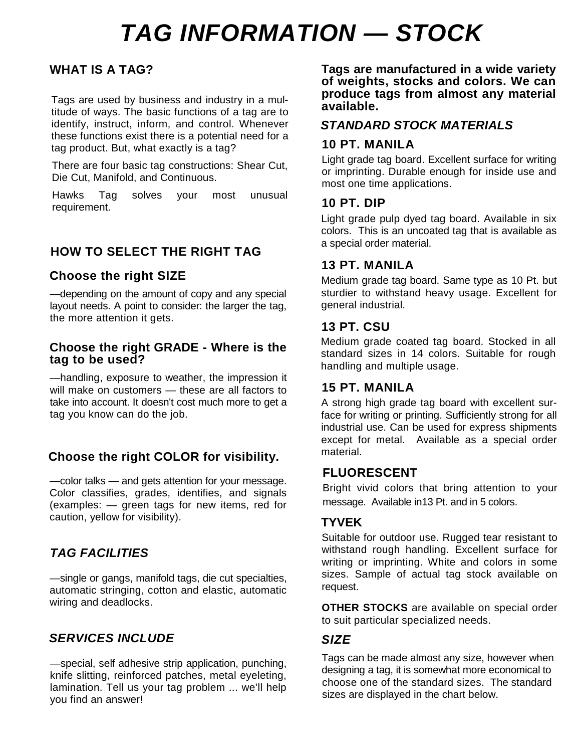# **TAG INFORMATION — STOCK**

## **WHAT IS A TAG?**

Tags are used by business and industry in a multitude of ways. The basic functions of a tag are to identify, instruct, inform, and control. Whenever these functions exist there is a potential need for a tag product. But, what exactly is a tag?

There are four basic tag constructions: Shear Cut, Die Cut, Manifold, and Continuous.

Hawks Tag solves your most unusual requirement.

## **HOW TO SELECT THE RIGHT TAG**

### **Choose the right SIZE**

—depending on the amount of copy and any special layout needs. A point to consider: the larger the tag, the more attention it gets.

#### **Choose the right GRADE - Where is the tag to be used?**

—handling, exposure to weather, the impression it will make on customers - these are all factors to take into account. It doesn't cost much more to get a tag you know can do the job.

## **Choose the right COLOR for visibility.**

—color talks — and gets attention for your message. Color classifies, grades, identifies, and signals (examples: — green tags for new items, red for caution, yellow for visibility).

## **TAG FACILITIES**

—single or gangs, manifold tags, die cut specialties, automatic stringing, cotton and elastic, automatic wiring and deadlocks.

## **SERVICES INCLUDE**

—special, self adhesive strip application, punching, knife slitting, reinforced patches, metal eyeleting, lamination. Tell us your tag problem ... we'll help you find an answer!

**Tags are manufactured in a wide variety of weights, stocks and colors. We can produce tags from almost any material available.**

### **STANDARD STOCK MATERIALS**

#### **10 PT. MANILA**

Light grade tag board. Excellent surface for writing or imprinting. Durable enough for inside use and most one time applications.

#### **10 PT. DIP**

Light grade pulp dyed tag board. Available in six colors. This is an uncoated tag that is available as a special order material.

### **13 PT. MANILA**

Medium grade tag board. Same type as 10 Pt. but sturdier to withstand heavy usage. Excellent for general industrial.

#### **13 PT. CSU**

Medium grade coated tag board. Stocked in all standard sizes in 14 colors. Suitable for rough handling and multiple usage.

### **15 PT. MANILA**

A strong high grade tag board with excellent surface for writing or printing. Sufficiently strong for all industrial use. Can be used for express shipments except for metal. Available as a special order material.

#### **FLUORESCENT**

Bright vivid colors that bring attention to your message. Available in13 Pt. and in 5 colors.

### **TYVEK**

Suitable for outdoor use. Rugged tear resistant to withstand rough handling. Excellent surface for writing or imprinting. White and colors in some sizes. Sample of actual tag stock available on request.

**OTHER STOCKS** are available on special order to suit particular specialized needs.

#### **SIZE**

Tags can be made almost any size, however when designing a tag, it is somewhat more economical to choose one of the standard sizes. The standard sizes are displayed in the chart below.